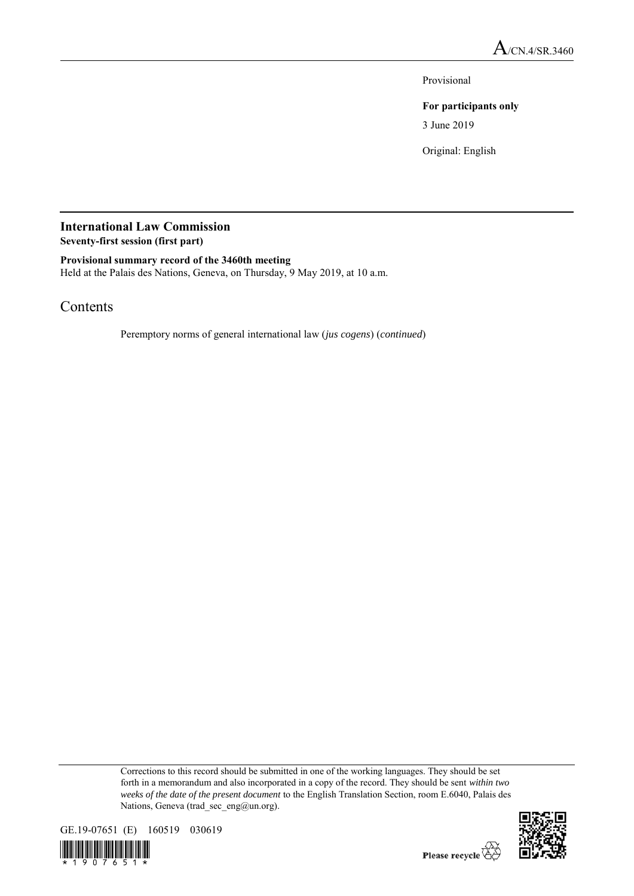Provisional

## **For participants only**

3 June 2019

Original: English

## **International Law Commission Seventy-first session (first part)**

**Provisional summary record of the 3460th meeting**

Held at the Palais des Nations, Geneva, on Thursday, 9 May 2019, at 10 a.m.

# Contents

Peremptory norms of general international law (*jus cogens*) (*continued*)

Corrections to this record should be submitted in one of the working languages. They should be set forth in a memorandum and also incorporated in a copy of the record. They should be sent *within two weeks of the date of the present document* to the English Translation Section, room E.6040, Palais des Nations, Geneva (trad\_sec\_eng@un.org).



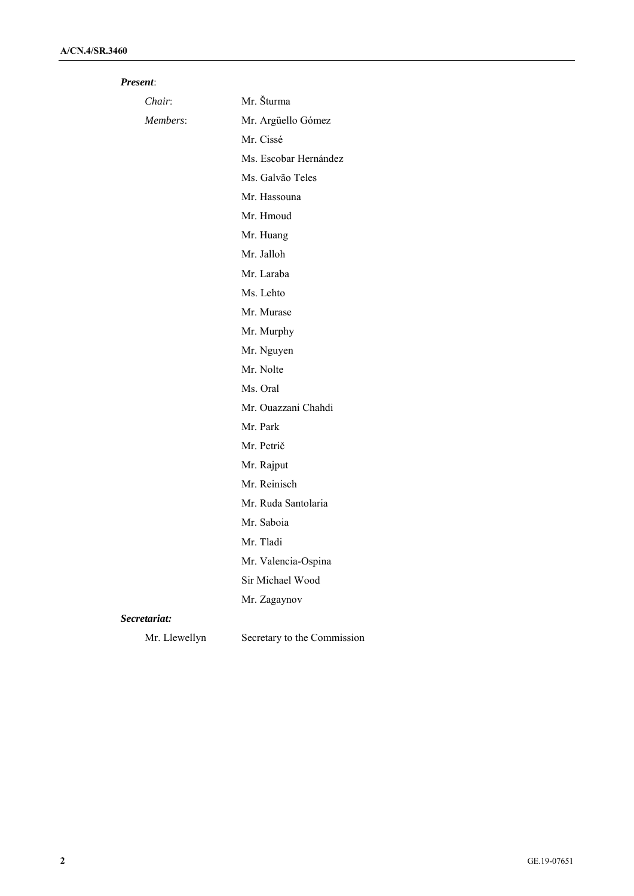| <i>Present:</i> |
|-----------------|
|                 |

| Chair:        | Mr. Šturma                  |
|---------------|-----------------------------|
| Members:      | Mr. Argüello Gómez          |
|               | Mr. Cissé                   |
|               | Ms. Escobar Hernández       |
|               | Ms. Galvão Teles            |
|               | Mr. Hassouna                |
|               | Mr. Hmoud                   |
|               | Mr. Huang                   |
|               | Mr. Jalloh                  |
|               | Mr. Laraba                  |
|               | Ms. Lehto                   |
|               | Mr. Murase                  |
|               | Mr. Murphy                  |
|               | Mr. Nguyen                  |
|               | Mr. Nolte                   |
|               | Ms. Oral                    |
|               | Mr. Ouazzani Chahdi         |
|               | Mr. Park                    |
|               | Mr. Petrič                  |
|               | Mr. Rajput                  |
|               | Mr. Reinisch                |
|               | Mr. Ruda Santolaria         |
|               | Mr. Saboia                  |
|               | Mr. Tladi                   |
|               | Mr. Valencia-Ospina         |
|               | Sir Michael Wood            |
|               | Mr. Zagaynov                |
| Secretariat:  |                             |
| Mr. Llewellyn | Secretary to the Commission |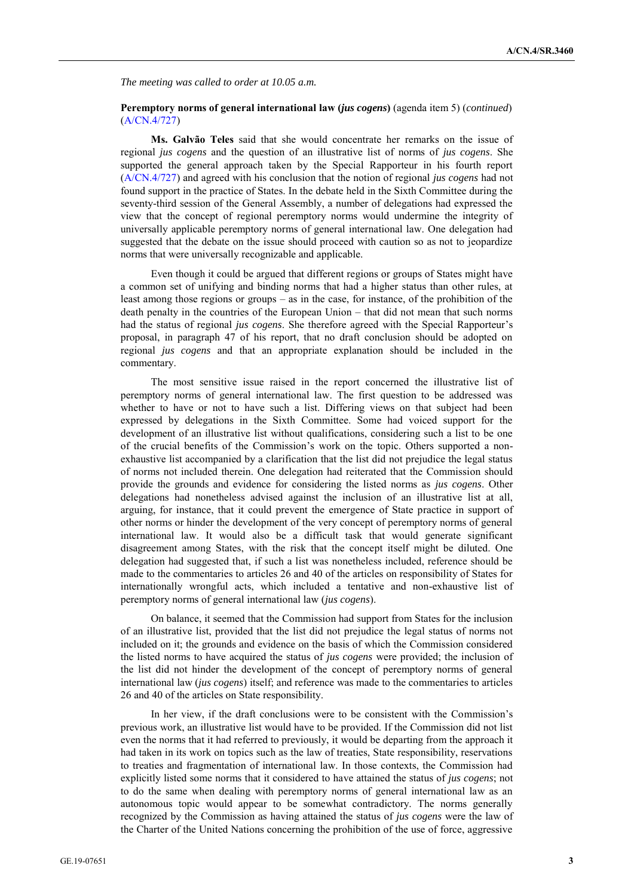*The meeting was called to order at 10.05 a.m.* 

### **Peremptory norms of general international law (***jus cogens***)** (agenda item 5) (*continued*) (A/CN.4/727)

**Ms. Galvão Teles** said that she would concentrate her remarks on the issue of regional *jus cogens* and the question of an illustrative list of norms of *jus cogens*. She supported the general approach taken by the Special Rapporteur in his fourth report (A/CN.4/727) and agreed with his conclusion that the notion of regional *jus cogens* had not found support in the practice of States. In the debate held in the Sixth Committee during the seventy-third session of the General Assembly, a number of delegations had expressed the view that the concept of regional peremptory norms would undermine the integrity of universally applicable peremptory norms of general international law. One delegation had suggested that the debate on the issue should proceed with caution so as not to jeopardize norms that were universally recognizable and applicable.

Even though it could be argued that different regions or groups of States might have a common set of unifying and binding norms that had a higher status than other rules, at least among those regions or groups – as in the case, for instance, of the prohibition of the death penalty in the countries of the European Union – that did not mean that such norms had the status of regional *jus cogens*. She therefore agreed with the Special Rapporteur's proposal, in paragraph 47 of his report, that no draft conclusion should be adopted on regional *jus cogens* and that an appropriate explanation should be included in the commentary.

The most sensitive issue raised in the report concerned the illustrative list of peremptory norms of general international law. The first question to be addressed was whether to have or not to have such a list. Differing views on that subject had been expressed by delegations in the Sixth Committee. Some had voiced support for the development of an illustrative list without qualifications, considering such a list to be one of the crucial benefits of the Commission's work on the topic. Others supported a nonexhaustive list accompanied by a clarification that the list did not prejudice the legal status of norms not included therein. One delegation had reiterated that the Commission should provide the grounds and evidence for considering the listed norms as *jus cogens*. Other delegations had nonetheless advised against the inclusion of an illustrative list at all, arguing, for instance, that it could prevent the emergence of State practice in support of other norms or hinder the development of the very concept of peremptory norms of general international law. It would also be a difficult task that would generate significant disagreement among States, with the risk that the concept itself might be diluted. One delegation had suggested that, if such a list was nonetheless included, reference should be made to the commentaries to articles 26 and 40 of the articles on responsibility of States for internationally wrongful acts, which included a tentative and non-exhaustive list of peremptory norms of general international law (*jus cogens*).

On balance, it seemed that the Commission had support from States for the inclusion of an illustrative list, provided that the list did not prejudice the legal status of norms not included on it; the grounds and evidence on the basis of which the Commission considered the listed norms to have acquired the status of *jus cogens* were provided; the inclusion of the list did not hinder the development of the concept of peremptory norms of general international law (*jus cogens*) itself; and reference was made to the commentaries to articles 26 and 40 of the articles on State responsibility.

In her view, if the draft conclusions were to be consistent with the Commission's previous work, an illustrative list would have to be provided. If the Commission did not list even the norms that it had referred to previously, it would be departing from the approach it had taken in its work on topics such as the law of treaties, State responsibility, reservations to treaties and fragmentation of international law. In those contexts, the Commission had explicitly listed some norms that it considered to have attained the status of *jus cogens*; not to do the same when dealing with peremptory norms of general international law as an autonomous topic would appear to be somewhat contradictory. The norms generally recognized by the Commission as having attained the status of *jus cogens* were the law of the Charter of the United Nations concerning the prohibition of the use of force, aggressive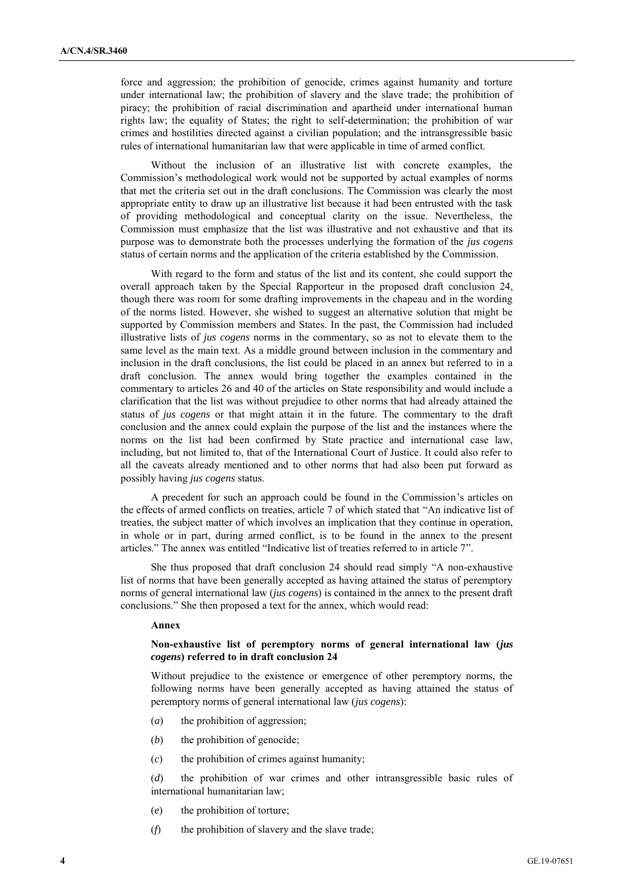force and aggression; the prohibition of genocide, crimes against humanity and torture under international law; the prohibition of slavery and the slave trade; the prohibition of piracy; the prohibition of racial discrimination and apartheid under international human rights law; the equality of States; the right to self-determination; the prohibition of war crimes and hostilities directed against a civilian population; and the intransgressible basic rules of international humanitarian law that were applicable in time of armed conflict.

Without the inclusion of an illustrative list with concrete examples, the Commission's methodological work would not be supported by actual examples of norms that met the criteria set out in the draft conclusions. The Commission was clearly the most appropriate entity to draw up an illustrative list because it had been entrusted with the task of providing methodological and conceptual clarity on the issue. Nevertheless, the Commission must emphasize that the list was illustrative and not exhaustive and that its purpose was to demonstrate both the processes underlying the formation of the *jus cogens* status of certain norms and the application of the criteria established by the Commission.

With regard to the form and status of the list and its content, she could support the overall approach taken by the Special Rapporteur in the proposed draft conclusion 24, though there was room for some drafting improvements in the chapeau and in the wording of the norms listed. However, she wished to suggest an alternative solution that might be supported by Commission members and States. In the past, the Commission had included illustrative lists of *jus cogens* norms in the commentary, so as not to elevate them to the same level as the main text. As a middle ground between inclusion in the commentary and inclusion in the draft conclusions, the list could be placed in an annex but referred to in a draft conclusion. The annex would bring together the examples contained in the commentary to articles 26 and 40 of the articles on State responsibility and would include a clarification that the list was without prejudice to other norms that had already attained the status of *jus cogens* or that might attain it in the future. The commentary to the draft conclusion and the annex could explain the purpose of the list and the instances where the norms on the list had been confirmed by State practice and international case law, including, but not limited to, that of the International Court of Justice. It could also refer to all the caveats already mentioned and to other norms that had also been put forward as possibly having *jus cogens* status.

A precedent for such an approach could be found in the Commission's articles on the effects of armed conflicts on treaties, article 7 of which stated that "An indicative list of treaties, the subject matter of which involves an implication that they continue in operation, in whole or in part, during armed conflict, is to be found in the annex to the present articles." The annex was entitled "Indicative list of treaties referred to in article 7".

She thus proposed that draft conclusion 24 should read simply "A non-exhaustive list of norms that have been generally accepted as having attained the status of peremptory norms of general international law (*jus cogens*) is contained in the annex to the present draft conclusions." She then proposed a text for the annex, which would read:

#### **Annex**

### **Non-exhaustive list of peremptory norms of general international law (***jus cogens***) referred to in draft conclusion 24**

Without prejudice to the existence or emergence of other peremptory norms, the following norms have been generally accepted as having attained the status of peremptory norms of general international law (*jus cogens*):

- (*a*) the prohibition of aggression;
- (*b*) the prohibition of genocide;
- (*c*) the prohibition of crimes against humanity;

(*d*) the prohibition of war crimes and other intransgressible basic rules of international humanitarian law;

- (*e*) the prohibition of torture;
- (*f*) the prohibition of slavery and the slave trade;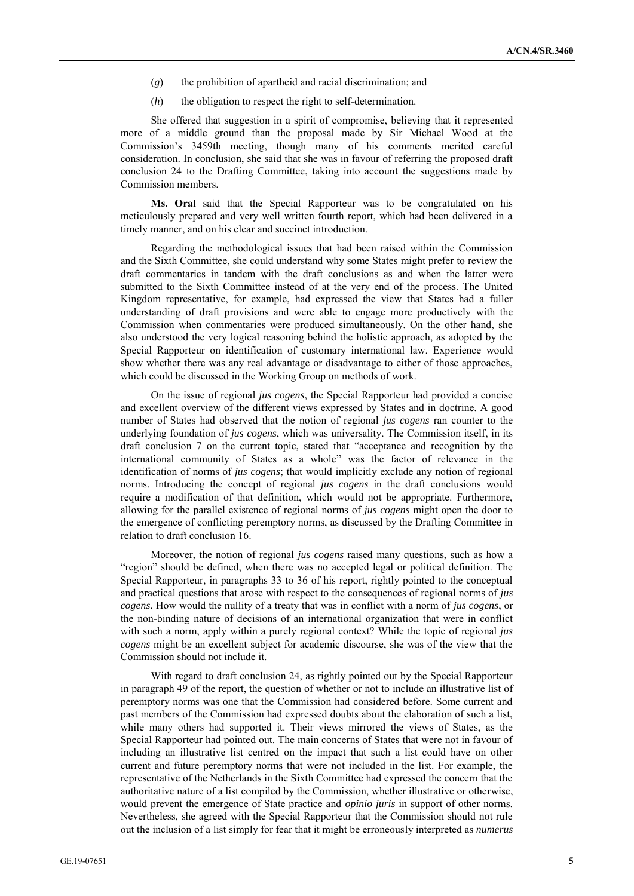- (*g*) the prohibition of apartheid and racial discrimination; and
- (*h*) the obligation to respect the right to self-determination.

She offered that suggestion in a spirit of compromise, believing that it represented more of a middle ground than the proposal made by Sir Michael Wood at the Commission's 3459th meeting, though many of his comments merited careful consideration. In conclusion, she said that she was in favour of referring the proposed draft conclusion 24 to the Drafting Committee, taking into account the suggestions made by Commission members.

**Ms. Oral** said that the Special Rapporteur was to be congratulated on his meticulously prepared and very well written fourth report, which had been delivered in a timely manner, and on his clear and succinct introduction.

Regarding the methodological issues that had been raised within the Commission and the Sixth Committee, she could understand why some States might prefer to review the draft commentaries in tandem with the draft conclusions as and when the latter were submitted to the Sixth Committee instead of at the very end of the process. The United Kingdom representative, for example, had expressed the view that States had a fuller understanding of draft provisions and were able to engage more productively with the Commission when commentaries were produced simultaneously. On the other hand, she also understood the very logical reasoning behind the holistic approach, as adopted by the Special Rapporteur on identification of customary international law. Experience would show whether there was any real advantage or disadvantage to either of those approaches, which could be discussed in the Working Group on methods of work.

On the issue of regional *jus cogens*, the Special Rapporteur had provided a concise and excellent overview of the different views expressed by States and in doctrine. A good number of States had observed that the notion of regional *jus cogens* ran counter to the underlying foundation of *jus cogens*, which was universality. The Commission itself, in its draft conclusion 7 on the current topic, stated that "acceptance and recognition by the international community of States as a whole" was the factor of relevance in the identification of norms of *jus cogens*; that would implicitly exclude any notion of regional norms. Introducing the concept of regional *jus cogens* in the draft conclusions would require a modification of that definition, which would not be appropriate. Furthermore, allowing for the parallel existence of regional norms of *jus cogens* might open the door to the emergence of conflicting peremptory norms, as discussed by the Drafting Committee in relation to draft conclusion 16.

Moreover, the notion of regional *jus cogens* raised many questions, such as how a "region" should be defined, when there was no accepted legal or political definition. The Special Rapporteur, in paragraphs 33 to 36 of his report, rightly pointed to the conceptual and practical questions that arose with respect to the consequences of regional norms of *jus cogens*. How would the nullity of a treaty that was in conflict with a norm of *jus cogens*, or the non-binding nature of decisions of an international organization that were in conflict with such a norm, apply within a purely regional context? While the topic of regional *jus cogens* might be an excellent subject for academic discourse, she was of the view that the Commission should not include it.

With regard to draft conclusion 24, as rightly pointed out by the Special Rapporteur in paragraph 49 of the report, the question of whether or not to include an illustrative list of peremptory norms was one that the Commission had considered before. Some current and past members of the Commission had expressed doubts about the elaboration of such a list, while many others had supported it. Their views mirrored the views of States, as the Special Rapporteur had pointed out. The main concerns of States that were not in favour of including an illustrative list centred on the impact that such a list could have on other current and future peremptory norms that were not included in the list. For example, the representative of the Netherlands in the Sixth Committee had expressed the concern that the authoritative nature of a list compiled by the Commission, whether illustrative or otherwise, would prevent the emergence of State practice and *opinio juris* in support of other norms. Nevertheless, she agreed with the Special Rapporteur that the Commission should not rule out the inclusion of a list simply for fear that it might be erroneously interpreted as *numerus*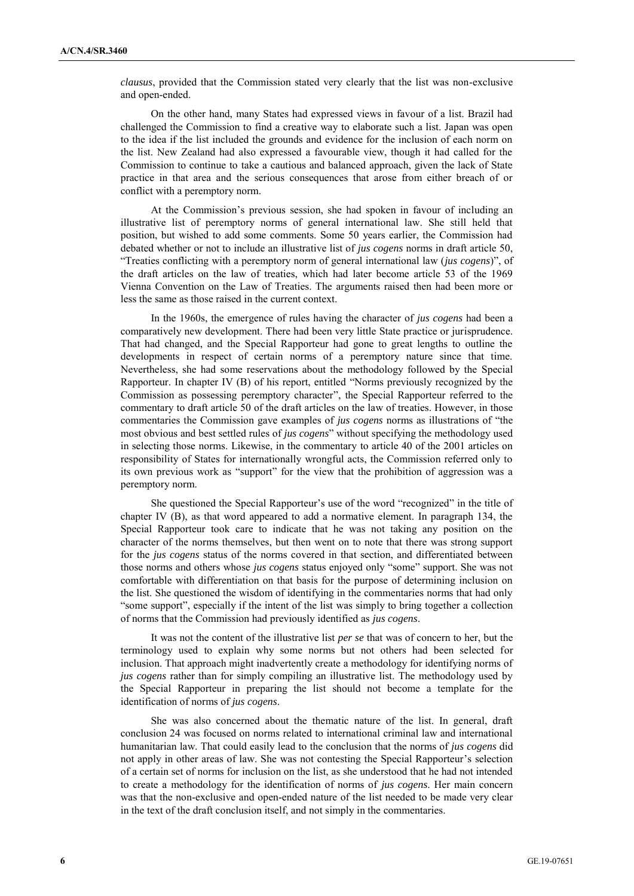*clausus*, provided that the Commission stated very clearly that the list was non-exclusive and open-ended.

On the other hand, many States had expressed views in favour of a list. Brazil had challenged the Commission to find a creative way to elaborate such a list. Japan was open to the idea if the list included the grounds and evidence for the inclusion of each norm on the list. New Zealand had also expressed a favourable view, though it had called for the Commission to continue to take a cautious and balanced approach, given the lack of State practice in that area and the serious consequences that arose from either breach of or conflict with a peremptory norm.

At the Commission's previous session, she had spoken in favour of including an illustrative list of peremptory norms of general international law. She still held that position, but wished to add some comments. Some 50 years earlier, the Commission had debated whether or not to include an illustrative list of *jus cogens* norms in draft article 50, "Treaties conflicting with a peremptory norm of general international law (*jus cogens*)", of the draft articles on the law of treaties, which had later become article 53 of the 1969 Vienna Convention on the Law of Treaties. The arguments raised then had been more or less the same as those raised in the current context.

In the 1960s, the emergence of rules having the character of *jus cogens* had been a comparatively new development. There had been very little State practice or jurisprudence. That had changed, and the Special Rapporteur had gone to great lengths to outline the developments in respect of certain norms of a peremptory nature since that time. Nevertheless, she had some reservations about the methodology followed by the Special Rapporteur. In chapter IV (B) of his report, entitled "Norms previously recognized by the Commission as possessing peremptory character", the Special Rapporteur referred to the commentary to draft article 50 of the draft articles on the law of treaties. However, in those commentaries the Commission gave examples of *jus cogens* norms as illustrations of "the most obvious and best settled rules of *jus cogens*" without specifying the methodology used in selecting those norms. Likewise, in the commentary to article 40 of the 2001 articles on responsibility of States for internationally wrongful acts, the Commission referred only to its own previous work as "support" for the view that the prohibition of aggression was a peremptory norm.

She questioned the Special Rapporteur's use of the word "recognized" in the title of chapter IV (B), as that word appeared to add a normative element. In paragraph 134, the Special Rapporteur took care to indicate that he was not taking any position on the character of the norms themselves, but then went on to note that there was strong support for the *jus cogens* status of the norms covered in that section, and differentiated between those norms and others whose *jus cogens* status enjoyed only "some" support. She was not comfortable with differentiation on that basis for the purpose of determining inclusion on the list. She questioned the wisdom of identifying in the commentaries norms that had only "some support", especially if the intent of the list was simply to bring together a collection of norms that the Commission had previously identified as *jus cogens*.

It was not the content of the illustrative list *per se* that was of concern to her, but the terminology used to explain why some norms but not others had been selected for inclusion. That approach might inadvertently create a methodology for identifying norms of *jus cogens* rather than for simply compiling an illustrative list. The methodology used by the Special Rapporteur in preparing the list should not become a template for the identification of norms of *jus cogens*.

She was also concerned about the thematic nature of the list. In general, draft conclusion 24 was focused on norms related to international criminal law and international humanitarian law. That could easily lead to the conclusion that the norms of *jus cogens* did not apply in other areas of law. She was not contesting the Special Rapporteur's selection of a certain set of norms for inclusion on the list, as she understood that he had not intended to create a methodology for the identification of norms of *jus cogens*. Her main concern was that the non-exclusive and open-ended nature of the list needed to be made very clear in the text of the draft conclusion itself, and not simply in the commentaries.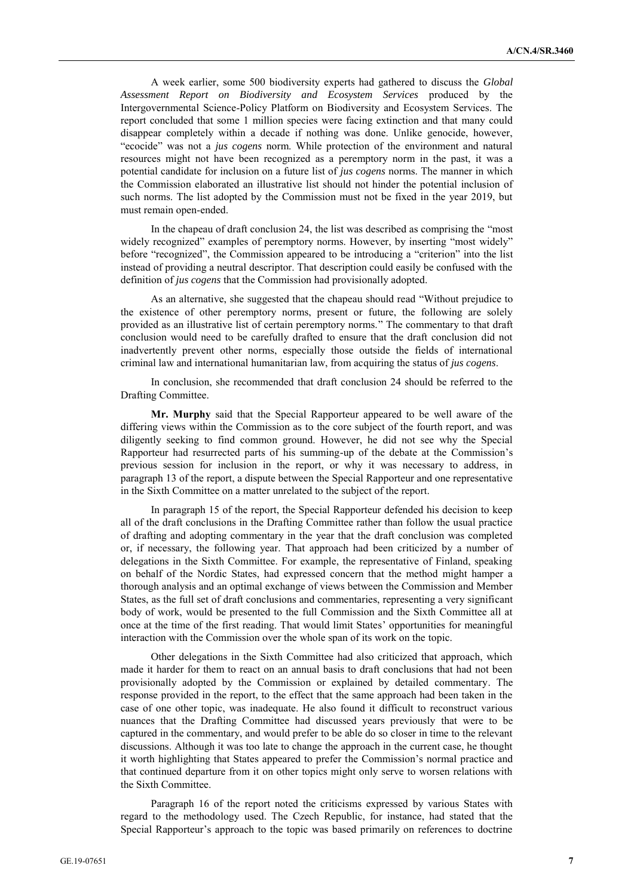A week earlier, some 500 biodiversity experts had gathered to discuss the *Global Assessment Report on Biodiversity and Ecosystem Services* produced by the Intergovernmental Science-Policy Platform on Biodiversity and Ecosystem Services. The report concluded that some 1 million species were facing extinction and that many could disappear completely within a decade if nothing was done. Unlike genocide, however, "ecocide" was not a *jus cogens* norm. While protection of the environment and natural resources might not have been recognized as a peremptory norm in the past, it was a potential candidate for inclusion on a future list of *jus cogens* norms. The manner in which the Commission elaborated an illustrative list should not hinder the potential inclusion of such norms. The list adopted by the Commission must not be fixed in the year 2019, but must remain open-ended.

In the chapeau of draft conclusion 24, the list was described as comprising the "most widely recognized" examples of peremptory norms. However, by inserting "most widely" before "recognized", the Commission appeared to be introducing a "criterion" into the list instead of providing a neutral descriptor. That description could easily be confused with the definition of *jus cogens* that the Commission had provisionally adopted.

As an alternative, she suggested that the chapeau should read "Without prejudice to the existence of other peremptory norms, present or future, the following are solely provided as an illustrative list of certain peremptory norms." The commentary to that draft conclusion would need to be carefully drafted to ensure that the draft conclusion did not inadvertently prevent other norms, especially those outside the fields of international criminal law and international humanitarian law, from acquiring the status of *jus cogens*.

In conclusion, she recommended that draft conclusion 24 should be referred to the Drafting Committee.

**Mr. Murphy** said that the Special Rapporteur appeared to be well aware of the differing views within the Commission as to the core subject of the fourth report, and was diligently seeking to find common ground. However, he did not see why the Special Rapporteur had resurrected parts of his summing-up of the debate at the Commission's previous session for inclusion in the report, or why it was necessary to address, in paragraph 13 of the report, a dispute between the Special Rapporteur and one representative in the Sixth Committee on a matter unrelated to the subject of the report.

In paragraph 15 of the report, the Special Rapporteur defended his decision to keep all of the draft conclusions in the Drafting Committee rather than follow the usual practice of drafting and adopting commentary in the year that the draft conclusion was completed or, if necessary, the following year. That approach had been criticized by a number of delegations in the Sixth Committee. For example, the representative of Finland, speaking on behalf of the Nordic States, had expressed concern that the method might hamper a thorough analysis and an optimal exchange of views between the Commission and Member States, as the full set of draft conclusions and commentaries, representing a very significant body of work, would be presented to the full Commission and the Sixth Committee all at once at the time of the first reading. That would limit States' opportunities for meaningful interaction with the Commission over the whole span of its work on the topic.

Other delegations in the Sixth Committee had also criticized that approach, which made it harder for them to react on an annual basis to draft conclusions that had not been provisionally adopted by the Commission or explained by detailed commentary. The response provided in the report, to the effect that the same approach had been taken in the case of one other topic, was inadequate. He also found it difficult to reconstruct various nuances that the Drafting Committee had discussed years previously that were to be captured in the commentary, and would prefer to be able do so closer in time to the relevant discussions. Although it was too late to change the approach in the current case, he thought it worth highlighting that States appeared to prefer the Commission's normal practice and that continued departure from it on other topics might only serve to worsen relations with the Sixth Committee.

Paragraph 16 of the report noted the criticisms expressed by various States with regard to the methodology used. The Czech Republic, for instance, had stated that the Special Rapporteur's approach to the topic was based primarily on references to doctrine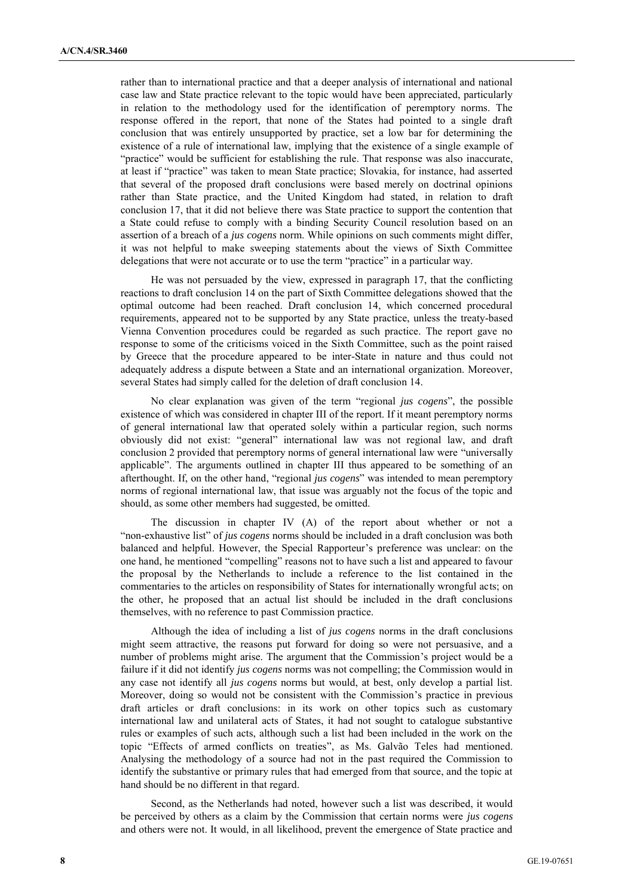rather than to international practice and that a deeper analysis of international and national case law and State practice relevant to the topic would have been appreciated, particularly in relation to the methodology used for the identification of peremptory norms. The response offered in the report, that none of the States had pointed to a single draft conclusion that was entirely unsupported by practice, set a low bar for determining the existence of a rule of international law, implying that the existence of a single example of "practice" would be sufficient for establishing the rule. That response was also inaccurate, at least if "practice" was taken to mean State practice; Slovakia, for instance, had asserted that several of the proposed draft conclusions were based merely on doctrinal opinions rather than State practice, and the United Kingdom had stated, in relation to draft conclusion 17, that it did not believe there was State practice to support the contention that a State could refuse to comply with a binding Security Council resolution based on an assertion of a breach of a *jus cogens* norm. While opinions on such comments might differ, it was not helpful to make sweeping statements about the views of Sixth Committee delegations that were not accurate or to use the term "practice" in a particular way.

He was not persuaded by the view, expressed in paragraph 17, that the conflicting reactions to draft conclusion 14 on the part of Sixth Committee delegations showed that the optimal outcome had been reached. Draft conclusion 14, which concerned procedural requirements, appeared not to be supported by any State practice, unless the treaty-based Vienna Convention procedures could be regarded as such practice. The report gave no response to some of the criticisms voiced in the Sixth Committee, such as the point raised by Greece that the procedure appeared to be inter-State in nature and thus could not adequately address a dispute between a State and an international organization. Moreover, several States had simply called for the deletion of draft conclusion 14.

No clear explanation was given of the term "regional *jus cogens*", the possible existence of which was considered in chapter III of the report. If it meant peremptory norms of general international law that operated solely within a particular region, such norms obviously did not exist: "general" international law was not regional law, and draft conclusion 2 provided that peremptory norms of general international law were "universally applicable". The arguments outlined in chapter III thus appeared to be something of an afterthought. If, on the other hand, "regional *jus cogens*" was intended to mean peremptory norms of regional international law, that issue was arguably not the focus of the topic and should, as some other members had suggested, be omitted.

The discussion in chapter IV (A) of the report about whether or not a "non-exhaustive list" of *jus cogens* norms should be included in a draft conclusion was both balanced and helpful. However, the Special Rapporteur's preference was unclear: on the one hand, he mentioned "compelling" reasons not to have such a list and appeared to favour the proposal by the Netherlands to include a reference to the list contained in the commentaries to the articles on responsibility of States for internationally wrongful acts; on the other, he proposed that an actual list should be included in the draft conclusions themselves, with no reference to past Commission practice.

Although the idea of including a list of *jus cogens* norms in the draft conclusions might seem attractive, the reasons put forward for doing so were not persuasive, and a number of problems might arise. The argument that the Commission's project would be a failure if it did not identify *jus cogens* norms was not compelling; the Commission would in any case not identify all *jus cogens* norms but would, at best, only develop a partial list. Moreover, doing so would not be consistent with the Commission's practice in previous draft articles or draft conclusions: in its work on other topics such as customary international law and unilateral acts of States, it had not sought to catalogue substantive rules or examples of such acts, although such a list had been included in the work on the topic "Effects of armed conflicts on treaties", as Ms. Galvão Teles had mentioned. Analysing the methodology of a source had not in the past required the Commission to identify the substantive or primary rules that had emerged from that source, and the topic at hand should be no different in that regard.

Second, as the Netherlands had noted, however such a list was described, it would be perceived by others as a claim by the Commission that certain norms were *jus cogens* and others were not. It would, in all likelihood, prevent the emergence of State practice and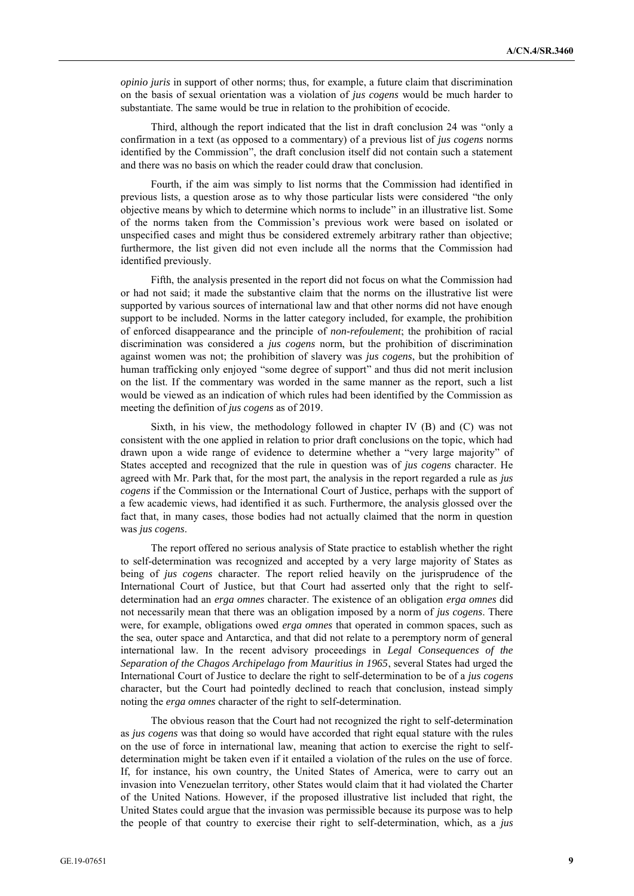*opinio juris* in support of other norms; thus, for example, a future claim that discrimination on the basis of sexual orientation was a violation of *jus cogens* would be much harder to substantiate. The same would be true in relation to the prohibition of ecocide.

Third, although the report indicated that the list in draft conclusion 24 was "only a confirmation in a text (as opposed to a commentary) of a previous list of *jus cogens* norms identified by the Commission", the draft conclusion itself did not contain such a statement and there was no basis on which the reader could draw that conclusion.

Fourth, if the aim was simply to list norms that the Commission had identified in previous lists, a question arose as to why those particular lists were considered "the only objective means by which to determine which norms to include" in an illustrative list. Some of the norms taken from the Commission's previous work were based on isolated or unspecified cases and might thus be considered extremely arbitrary rather than objective; furthermore, the list given did not even include all the norms that the Commission had identified previously.

Fifth, the analysis presented in the report did not focus on what the Commission had or had not said; it made the substantive claim that the norms on the illustrative list were supported by various sources of international law and that other norms did not have enough support to be included. Norms in the latter category included, for example, the prohibition of enforced disappearance and the principle of *non-refoulement*; the prohibition of racial discrimination was considered a *jus cogens* norm, but the prohibition of discrimination against women was not; the prohibition of slavery was *jus cogens*, but the prohibition of human trafficking only enjoyed "some degree of support" and thus did not merit inclusion on the list. If the commentary was worded in the same manner as the report, such a list would be viewed as an indication of which rules had been identified by the Commission as meeting the definition of *jus cogens* as of 2019.

Sixth, in his view, the methodology followed in chapter IV (B) and (C) was not consistent with the one applied in relation to prior draft conclusions on the topic, which had drawn upon a wide range of evidence to determine whether a "very large majority" of States accepted and recognized that the rule in question was of *jus cogens* character. He agreed with Mr. Park that, for the most part, the analysis in the report regarded a rule as *jus cogens* if the Commission or the International Court of Justice, perhaps with the support of a few academic views, had identified it as such. Furthermore, the analysis glossed over the fact that, in many cases, those bodies had not actually claimed that the norm in question was *jus cogens*.

The report offered no serious analysis of State practice to establish whether the right to self-determination was recognized and accepted by a very large majority of States as being of *jus cogens* character. The report relied heavily on the jurisprudence of the International Court of Justice, but that Court had asserted only that the right to selfdetermination had an *erga omnes* character. The existence of an obligation *erga omnes* did not necessarily mean that there was an obligation imposed by a norm of *jus cogens*. There were, for example, obligations owed *erga omnes* that operated in common spaces, such as the sea, outer space and Antarctica, and that did not relate to a peremptory norm of general international law. In the recent advisory proceedings in *Legal Consequences of the Separation of the Chagos Archipelago from Mauritius in 1965*, several States had urged the International Court of Justice to declare the right to self-determination to be of a *jus cogens* character, but the Court had pointedly declined to reach that conclusion, instead simply noting the *erga omnes* character of the right to self-determination.

The obvious reason that the Court had not recognized the right to self-determination as *jus cogens* was that doing so would have accorded that right equal stature with the rules on the use of force in international law, meaning that action to exercise the right to selfdetermination might be taken even if it entailed a violation of the rules on the use of force. If, for instance, his own country, the United States of America, were to carry out an invasion into Venezuelan territory, other States would claim that it had violated the Charter of the United Nations. However, if the proposed illustrative list included that right, the United States could argue that the invasion was permissible because its purpose was to help the people of that country to exercise their right to self-determination, which, as a *jus*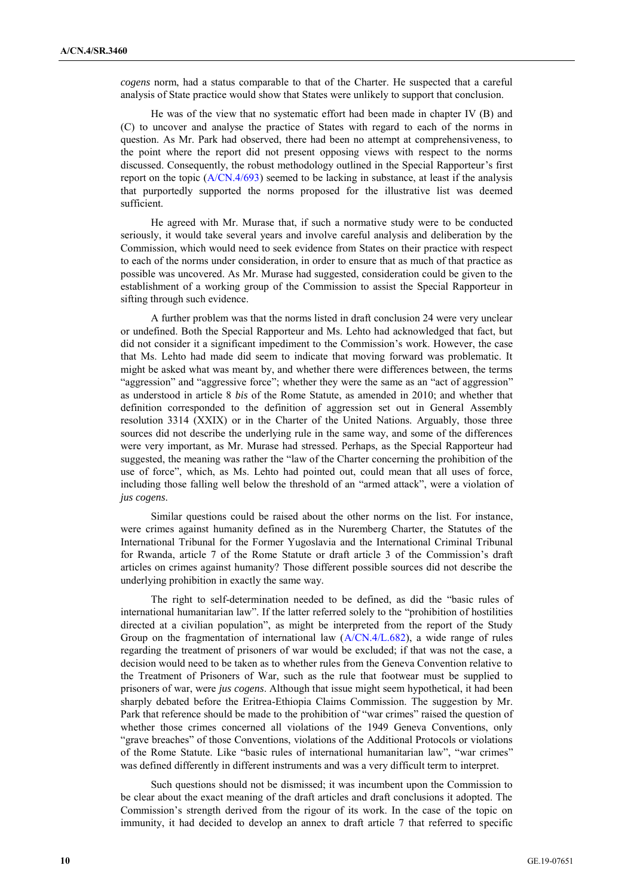*cogens* norm, had a status comparable to that of the Charter. He suspected that a careful analysis of State practice would show that States were unlikely to support that conclusion.

He was of the view that no systematic effort had been made in chapter IV (B) and (C) to uncover and analyse the practice of States with regard to each of the norms in question. As Mr. Park had observed, there had been no attempt at comprehensiveness, to the point where the report did not present opposing views with respect to the norms discussed. Consequently, the robust methodology outlined in the Special Rapporteur's first report on the topic (A/CN.4/693) seemed to be lacking in substance, at least if the analysis that purportedly supported the norms proposed for the illustrative list was deemed sufficient.

He agreed with Mr. Murase that, if such a normative study were to be conducted seriously, it would take several years and involve careful analysis and deliberation by the Commission, which would need to seek evidence from States on their practice with respect to each of the norms under consideration, in order to ensure that as much of that practice as possible was uncovered. As Mr. Murase had suggested, consideration could be given to the establishment of a working group of the Commission to assist the Special Rapporteur in sifting through such evidence.

A further problem was that the norms listed in draft conclusion 24 were very unclear or undefined. Both the Special Rapporteur and Ms. Lehto had acknowledged that fact, but did not consider it a significant impediment to the Commission's work. However, the case that Ms. Lehto had made did seem to indicate that moving forward was problematic. It might be asked what was meant by, and whether there were differences between, the terms "aggression" and "aggressive force"; whether they were the same as an "act of aggression" as understood in article 8 *bis* of the Rome Statute, as amended in 2010; and whether that definition corresponded to the definition of aggression set out in General Assembly resolution 3314 (XXIX) or in the Charter of the United Nations. Arguably, those three sources did not describe the underlying rule in the same way, and some of the differences were very important, as Mr. Murase had stressed. Perhaps, as the Special Rapporteur had suggested, the meaning was rather the "law of the Charter concerning the prohibition of the use of force", which, as Ms. Lehto had pointed out, could mean that all uses of force, including those falling well below the threshold of an "armed attack", were a violation of *jus cogens*.

Similar questions could be raised about the other norms on the list. For instance, were crimes against humanity defined as in the Nuremberg Charter, the Statutes of the International Tribunal for the Former Yugoslavia and the International Criminal Tribunal for Rwanda, article 7 of the Rome Statute or draft article 3 of the Commission's draft articles on crimes against humanity? Those different possible sources did not describe the underlying prohibition in exactly the same way.

The right to self-determination needed to be defined, as did the "basic rules of international humanitarian law". If the latter referred solely to the "prohibition of hostilities directed at a civilian population", as might be interpreted from the report of the Study Group on the fragmentation of international law (A/CN.4/L.682), a wide range of rules regarding the treatment of prisoners of war would be excluded; if that was not the case, a decision would need to be taken as to whether rules from the Geneva Convention relative to the Treatment of Prisoners of War, such as the rule that footwear must be supplied to prisoners of war, were *jus cogens*. Although that issue might seem hypothetical, it had been sharply debated before the Eritrea-Ethiopia Claims Commission. The suggestion by Mr. Park that reference should be made to the prohibition of "war crimes" raised the question of whether those crimes concerned all violations of the 1949 Geneva Conventions, only "grave breaches" of those Conventions, violations of the Additional Protocols or violations of the Rome Statute. Like "basic rules of international humanitarian law", "war crimes" was defined differently in different instruments and was a very difficult term to interpret.

Such questions should not be dismissed; it was incumbent upon the Commission to be clear about the exact meaning of the draft articles and draft conclusions it adopted. The Commission's strength derived from the rigour of its work. In the case of the topic on immunity, it had decided to develop an annex to draft article 7 that referred to specific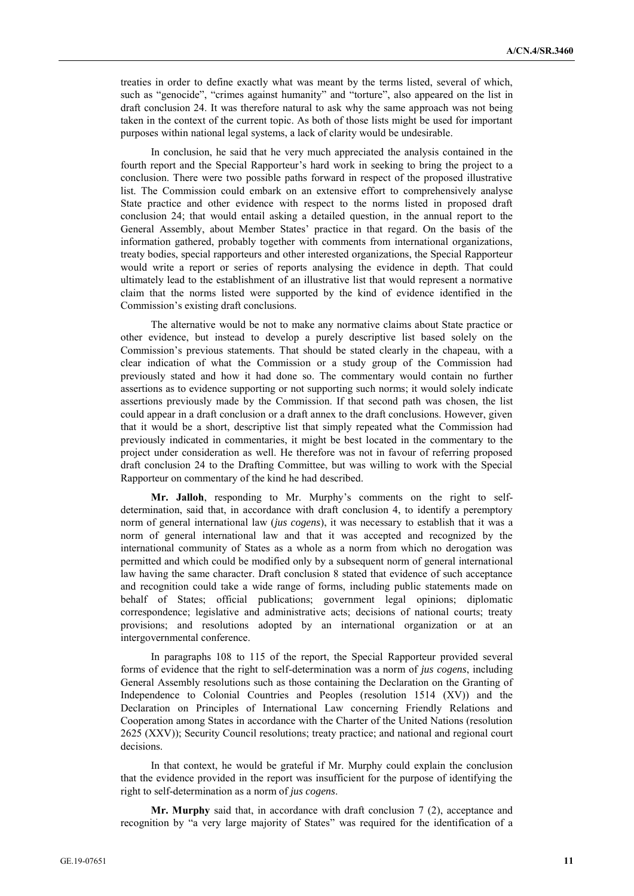treaties in order to define exactly what was meant by the terms listed, several of which, such as "genocide", "crimes against humanity" and "torture", also appeared on the list in draft conclusion 24. It was therefore natural to ask why the same approach was not being taken in the context of the current topic. As both of those lists might be used for important purposes within national legal systems, a lack of clarity would be undesirable.

In conclusion, he said that he very much appreciated the analysis contained in the fourth report and the Special Rapporteur's hard work in seeking to bring the project to a conclusion. There were two possible paths forward in respect of the proposed illustrative list. The Commission could embark on an extensive effort to comprehensively analyse State practice and other evidence with respect to the norms listed in proposed draft conclusion 24; that would entail asking a detailed question, in the annual report to the General Assembly, about Member States' practice in that regard. On the basis of the information gathered, probably together with comments from international organizations, treaty bodies, special rapporteurs and other interested organizations, the Special Rapporteur would write a report or series of reports analysing the evidence in depth. That could ultimately lead to the establishment of an illustrative list that would represent a normative claim that the norms listed were supported by the kind of evidence identified in the Commission's existing draft conclusions.

The alternative would be not to make any normative claims about State practice or other evidence, but instead to develop a purely descriptive list based solely on the Commission's previous statements. That should be stated clearly in the chapeau, with a clear indication of what the Commission or a study group of the Commission had previously stated and how it had done so. The commentary would contain no further assertions as to evidence supporting or not supporting such norms; it would solely indicate assertions previously made by the Commission. If that second path was chosen, the list could appear in a draft conclusion or a draft annex to the draft conclusions. However, given that it would be a short, descriptive list that simply repeated what the Commission had previously indicated in commentaries, it might be best located in the commentary to the project under consideration as well. He therefore was not in favour of referring proposed draft conclusion 24 to the Drafting Committee, but was willing to work with the Special Rapporteur on commentary of the kind he had described.

**Mr. Jalloh**, responding to Mr. Murphy's comments on the right to selfdetermination, said that, in accordance with draft conclusion 4, to identify a peremptory norm of general international law (*jus cogens*), it was necessary to establish that it was a norm of general international law and that it was accepted and recognized by the international community of States as a whole as a norm from which no derogation was permitted and which could be modified only by a subsequent norm of general international law having the same character. Draft conclusion 8 stated that evidence of such acceptance and recognition could take a wide range of forms, including public statements made on behalf of States; official publications; government legal opinions; diplomatic correspondence; legislative and administrative acts; decisions of national courts; treaty provisions; and resolutions adopted by an international organization or at an intergovernmental conference.

In paragraphs 108 to 115 of the report, the Special Rapporteur provided several forms of evidence that the right to self-determination was a norm of *jus cogens*, including General Assembly resolutions such as those containing the Declaration on the Granting of Independence to Colonial Countries and Peoples (resolution 1514 (XV)) and the Declaration on Principles of International Law concerning Friendly Relations and Cooperation among States in accordance with the Charter of the United Nations (resolution 2625 (XXV)); Security Council resolutions; treaty practice; and national and regional court decisions.

In that context, he would be grateful if Mr. Murphy could explain the conclusion that the evidence provided in the report was insufficient for the purpose of identifying the right to self-determination as a norm of *jus cogens*.

**Mr. Murphy** said that, in accordance with draft conclusion 7 (2), acceptance and recognition by "a very large majority of States" was required for the identification of a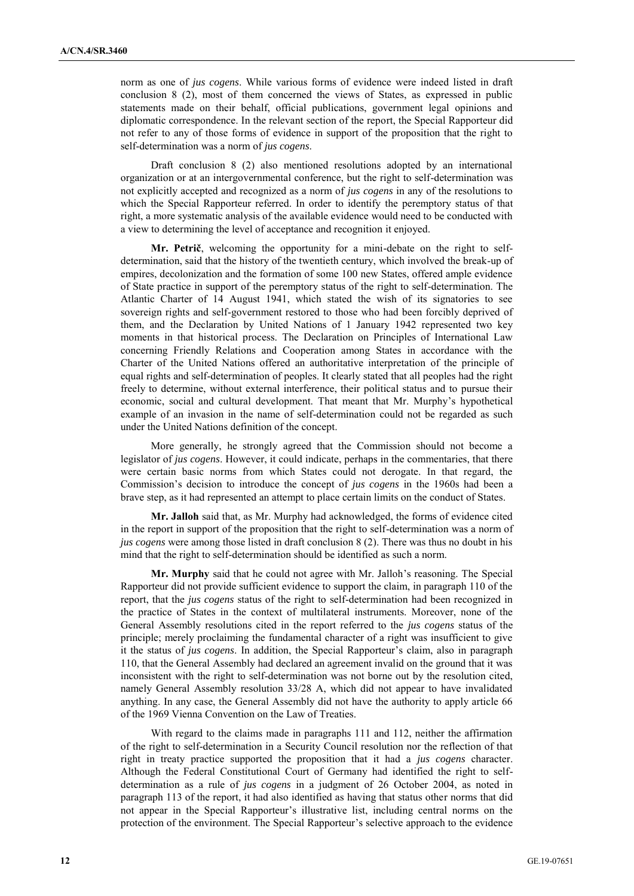norm as one of *jus cogens*. While various forms of evidence were indeed listed in draft conclusion 8 (2), most of them concerned the views of States, as expressed in public statements made on their behalf, official publications, government legal opinions and diplomatic correspondence. In the relevant section of the report, the Special Rapporteur did not refer to any of those forms of evidence in support of the proposition that the right to self-determination was a norm of *jus cogens*.

Draft conclusion 8 (2) also mentioned resolutions adopted by an international organization or at an intergovernmental conference, but the right to self-determination was not explicitly accepted and recognized as a norm of *jus cogens* in any of the resolutions to which the Special Rapporteur referred. In order to identify the peremptory status of that right, a more systematic analysis of the available evidence would need to be conducted with a view to determining the level of acceptance and recognition it enjoyed.

**Mr. Petrič**, welcoming the opportunity for a mini-debate on the right to selfdetermination, said that the history of the twentieth century, which involved the break-up of empires, decolonization and the formation of some 100 new States, offered ample evidence of State practice in support of the peremptory status of the right to self-determination. The Atlantic Charter of 14 August 1941, which stated the wish of its signatories to see sovereign rights and self-government restored to those who had been forcibly deprived of them, and the Declaration by United Nations of 1 January 1942 represented two key moments in that historical process. The Declaration on Principles of International Law concerning Friendly Relations and Cooperation among States in accordance with the Charter of the United Nations offered an authoritative interpretation of the principle of equal rights and self-determination of peoples. It clearly stated that all peoples had the right freely to determine, without external interference, their political status and to pursue their economic, social and cultural development. That meant that Mr. Murphy's hypothetical example of an invasion in the name of self-determination could not be regarded as such under the United Nations definition of the concept.

More generally, he strongly agreed that the Commission should not become a legislator of *jus cogens*. However, it could indicate, perhaps in the commentaries, that there were certain basic norms from which States could not derogate. In that regard, the Commission's decision to introduce the concept of *jus cogens* in the 1960s had been a brave step, as it had represented an attempt to place certain limits on the conduct of States.

**Mr. Jalloh** said that, as Mr. Murphy had acknowledged, the forms of evidence cited in the report in support of the proposition that the right to self-determination was a norm of *jus cogens* were among those listed in draft conclusion 8 (2). There was thus no doubt in his mind that the right to self-determination should be identified as such a norm.

**Mr. Murphy** said that he could not agree with Mr. Jalloh's reasoning. The Special Rapporteur did not provide sufficient evidence to support the claim, in paragraph 110 of the report, that the *jus cogens* status of the right to self-determination had been recognized in the practice of States in the context of multilateral instruments. Moreover, none of the General Assembly resolutions cited in the report referred to the *jus cogens* status of the principle; merely proclaiming the fundamental character of a right was insufficient to give it the status of *jus cogens*. In addition, the Special Rapporteur's claim, also in paragraph 110, that the General Assembly had declared an agreement invalid on the ground that it was inconsistent with the right to self-determination was not borne out by the resolution cited, namely General Assembly resolution 33/28 A, which did not appear to have invalidated anything. In any case, the General Assembly did not have the authority to apply article 66 of the 1969 Vienna Convention on the Law of Treaties.

With regard to the claims made in paragraphs 111 and 112, neither the affirmation of the right to self-determination in a Security Council resolution nor the reflection of that right in treaty practice supported the proposition that it had a *jus cogens* character. Although the Federal Constitutional Court of Germany had identified the right to selfdetermination as a rule of *jus cogens* in a judgment of 26 October 2004, as noted in paragraph 113 of the report, it had also identified as having that status other norms that did not appear in the Special Rapporteur's illustrative list, including central norms on the protection of the environment. The Special Rapporteur's selective approach to the evidence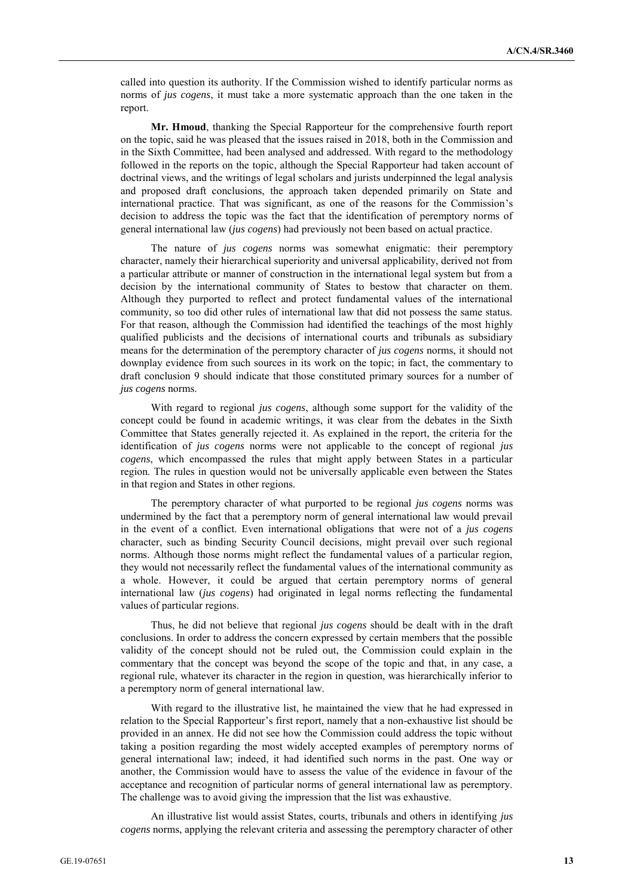called into question its authority. If the Commission wished to identify particular norms as norms of *jus cogens*, it must take a more systematic approach than the one taken in the report.

**Mr. Hmoud**, thanking the Special Rapporteur for the comprehensive fourth report on the topic, said he was pleased that the issues raised in 2018, both in the Commission and in the Sixth Committee, had been analysed and addressed. With regard to the methodology followed in the reports on the topic, although the Special Rapporteur had taken account of doctrinal views, and the writings of legal scholars and jurists underpinned the legal analysis and proposed draft conclusions, the approach taken depended primarily on State and international practice. That was significant, as one of the reasons for the Commission's decision to address the topic was the fact that the identification of peremptory norms of general international law (*jus cogens*) had previously not been based on actual practice.

The nature of *jus cogens* norms was somewhat enigmatic: their peremptory character, namely their hierarchical superiority and universal applicability, derived not from a particular attribute or manner of construction in the international legal system but from a decision by the international community of States to bestow that character on them. Although they purported to reflect and protect fundamental values of the international community, so too did other rules of international law that did not possess the same status. For that reason, although the Commission had identified the teachings of the most highly qualified publicists and the decisions of international courts and tribunals as subsidiary means for the determination of the peremptory character of *jus cogens* norms, it should not downplay evidence from such sources in its work on the topic; in fact, the commentary to draft conclusion 9 should indicate that those constituted primary sources for a number of *jus cogens* norms.

With regard to regional *jus cogens*, although some support for the validity of the concept could be found in academic writings, it was clear from the debates in the Sixth Committee that States generally rejected it. As explained in the report, the criteria for the identification of *jus cogens* norms were not applicable to the concept of regional *jus cogens*, which encompassed the rules that might apply between States in a particular region. The rules in question would not be universally applicable even between the States in that region and States in other regions.

The peremptory character of what purported to be regional *jus cogens* norms was undermined by the fact that a peremptory norm of general international law would prevail in the event of a conflict. Even international obligations that were not of a *jus cogens* character, such as binding Security Council decisions, might prevail over such regional norms. Although those norms might reflect the fundamental values of a particular region, they would not necessarily reflect the fundamental values of the international community as a whole. However, it could be argued that certain peremptory norms of general international law (*jus cogens*) had originated in legal norms reflecting the fundamental values of particular regions.

Thus, he did not believe that regional *jus cogens* should be dealt with in the draft conclusions. In order to address the concern expressed by certain members that the possible validity of the concept should not be ruled out, the Commission could explain in the commentary that the concept was beyond the scope of the topic and that, in any case, a regional rule, whatever its character in the region in question, was hierarchically inferior to a peremptory norm of general international law.

With regard to the illustrative list, he maintained the view that he had expressed in relation to the Special Rapporteur's first report, namely that a non-exhaustive list should be provided in an annex. He did not see how the Commission could address the topic without taking a position regarding the most widely accepted examples of peremptory norms of general international law; indeed, it had identified such norms in the past. One way or another, the Commission would have to assess the value of the evidence in favour of the acceptance and recognition of particular norms of general international law as peremptory. The challenge was to avoid giving the impression that the list was exhaustive.

An illustrative list would assist States, courts, tribunals and others in identifying *jus cogens* norms, applying the relevant criteria and assessing the peremptory character of other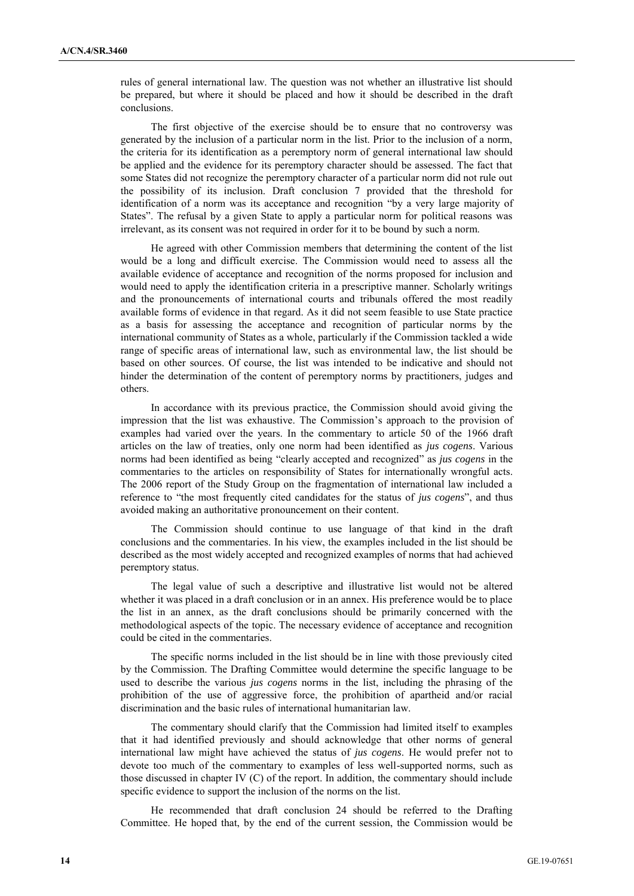rules of general international law. The question was not whether an illustrative list should be prepared, but where it should be placed and how it should be described in the draft conclusions.

The first objective of the exercise should be to ensure that no controversy was generated by the inclusion of a particular norm in the list. Prior to the inclusion of a norm, the criteria for its identification as a peremptory norm of general international law should be applied and the evidence for its peremptory character should be assessed. The fact that some States did not recognize the peremptory character of a particular norm did not rule out the possibility of its inclusion. Draft conclusion 7 provided that the threshold for identification of a norm was its acceptance and recognition "by a very large majority of States". The refusal by a given State to apply a particular norm for political reasons was irrelevant, as its consent was not required in order for it to be bound by such a norm.

He agreed with other Commission members that determining the content of the list would be a long and difficult exercise. The Commission would need to assess all the available evidence of acceptance and recognition of the norms proposed for inclusion and would need to apply the identification criteria in a prescriptive manner. Scholarly writings and the pronouncements of international courts and tribunals offered the most readily available forms of evidence in that regard. As it did not seem feasible to use State practice as a basis for assessing the acceptance and recognition of particular norms by the international community of States as a whole, particularly if the Commission tackled a wide range of specific areas of international law, such as environmental law, the list should be based on other sources. Of course, the list was intended to be indicative and should not hinder the determination of the content of peremptory norms by practitioners, judges and others.

In accordance with its previous practice, the Commission should avoid giving the impression that the list was exhaustive. The Commission's approach to the provision of examples had varied over the years. In the commentary to article 50 of the 1966 draft articles on the law of treaties, only one norm had been identified as *jus cogens*. Various norms had been identified as being "clearly accepted and recognized" as *jus cogens* in the commentaries to the articles on responsibility of States for internationally wrongful acts. The 2006 report of the Study Group on the fragmentation of international law included a reference to "the most frequently cited candidates for the status of *jus cogens*", and thus avoided making an authoritative pronouncement on their content.

The Commission should continue to use language of that kind in the draft conclusions and the commentaries. In his view, the examples included in the list should be described as the most widely accepted and recognized examples of norms that had achieved peremptory status.

The legal value of such a descriptive and illustrative list would not be altered whether it was placed in a draft conclusion or in an annex. His preference would be to place the list in an annex, as the draft conclusions should be primarily concerned with the methodological aspects of the topic. The necessary evidence of acceptance and recognition could be cited in the commentaries.

The specific norms included in the list should be in line with those previously cited by the Commission. The Drafting Committee would determine the specific language to be used to describe the various *jus cogens* norms in the list, including the phrasing of the prohibition of the use of aggressive force, the prohibition of apartheid and/or racial discrimination and the basic rules of international humanitarian law.

The commentary should clarify that the Commission had limited itself to examples that it had identified previously and should acknowledge that other norms of general international law might have achieved the status of *jus cogens*. He would prefer not to devote too much of the commentary to examples of less well-supported norms, such as those discussed in chapter IV (C) of the report. In addition, the commentary should include specific evidence to support the inclusion of the norms on the list.

He recommended that draft conclusion 24 should be referred to the Drafting Committee. He hoped that, by the end of the current session, the Commission would be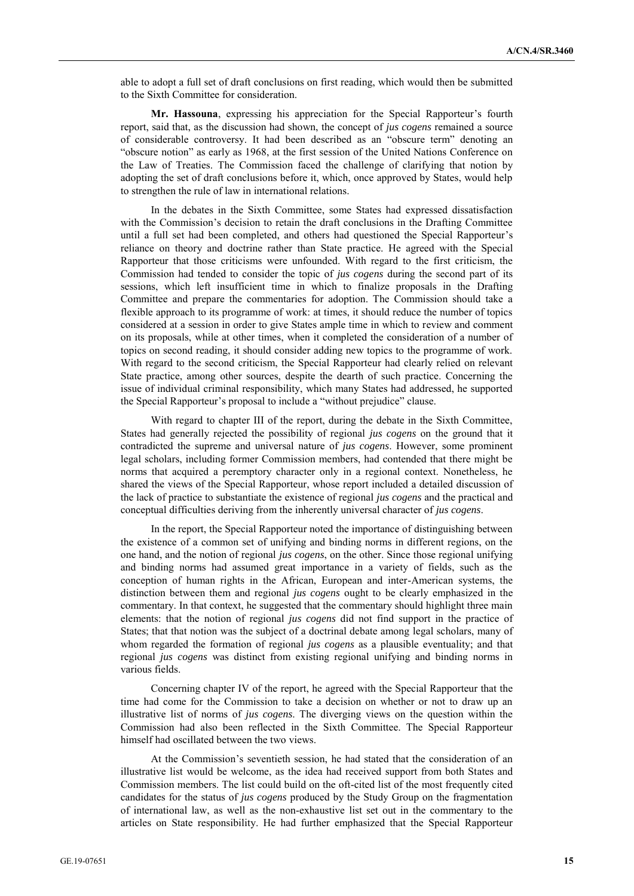able to adopt a full set of draft conclusions on first reading, which would then be submitted to the Sixth Committee for consideration.

**Mr. Hassouna**, expressing his appreciation for the Special Rapporteur's fourth report, said that, as the discussion had shown, the concept of *jus cogens* remained a source of considerable controversy. It had been described as an "obscure term" denoting an "obscure notion" as early as 1968, at the first session of the United Nations Conference on the Law of Treaties. The Commission faced the challenge of clarifying that notion by adopting the set of draft conclusions before it, which, once approved by States, would help to strengthen the rule of law in international relations.

In the debates in the Sixth Committee, some States had expressed dissatisfaction with the Commission's decision to retain the draft conclusions in the Drafting Committee until a full set had been completed, and others had questioned the Special Rapporteur's reliance on theory and doctrine rather than State practice. He agreed with the Special Rapporteur that those criticisms were unfounded. With regard to the first criticism, the Commission had tended to consider the topic of *jus cogens* during the second part of its sessions, which left insufficient time in which to finalize proposals in the Drafting Committee and prepare the commentaries for adoption. The Commission should take a flexible approach to its programme of work: at times, it should reduce the number of topics considered at a session in order to give States ample time in which to review and comment on its proposals, while at other times, when it completed the consideration of a number of topics on second reading, it should consider adding new topics to the programme of work. With regard to the second criticism, the Special Rapporteur had clearly relied on relevant State practice, among other sources, despite the dearth of such practice. Concerning the issue of individual criminal responsibility, which many States had addressed, he supported the Special Rapporteur's proposal to include a "without prejudice" clause.

With regard to chapter III of the report, during the debate in the Sixth Committee, States had generally rejected the possibility of regional *jus cogens* on the ground that it contradicted the supreme and universal nature of *jus cogens*. However, some prominent legal scholars, including former Commission members, had contended that there might be norms that acquired a peremptory character only in a regional context. Nonetheless, he shared the views of the Special Rapporteur, whose report included a detailed discussion of the lack of practice to substantiate the existence of regional *jus cogens* and the practical and conceptual difficulties deriving from the inherently universal character of *jus cogens*.

In the report, the Special Rapporteur noted the importance of distinguishing between the existence of a common set of unifying and binding norms in different regions, on the one hand, and the notion of regional *jus cogens*, on the other. Since those regional unifying and binding norms had assumed great importance in a variety of fields, such as the conception of human rights in the African, European and inter-American systems, the distinction between them and regional *jus cogens* ought to be clearly emphasized in the commentary. In that context, he suggested that the commentary should highlight three main elements: that the notion of regional *jus cogens* did not find support in the practice of States; that that notion was the subject of a doctrinal debate among legal scholars, many of whom regarded the formation of regional *jus cogens* as a plausible eventuality; and that regional *jus cogens* was distinct from existing regional unifying and binding norms in various fields.

Concerning chapter IV of the report, he agreed with the Special Rapporteur that the time had come for the Commission to take a decision on whether or not to draw up an illustrative list of norms of *jus cogens*. The diverging views on the question within the Commission had also been reflected in the Sixth Committee. The Special Rapporteur himself had oscillated between the two views.

At the Commission's seventieth session, he had stated that the consideration of an illustrative list would be welcome, as the idea had received support from both States and Commission members. The list could build on the oft-cited list of the most frequently cited candidates for the status of *jus cogens* produced by the Study Group on the fragmentation of international law, as well as the non-exhaustive list set out in the commentary to the articles on State responsibility. He had further emphasized that the Special Rapporteur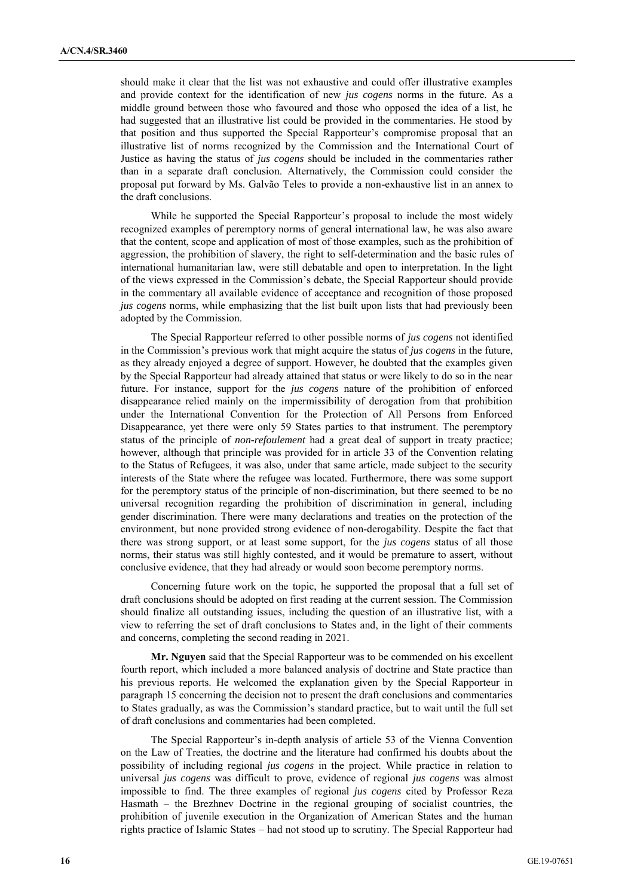should make it clear that the list was not exhaustive and could offer illustrative examples and provide context for the identification of new *jus cogens* norms in the future. As a middle ground between those who favoured and those who opposed the idea of a list, he had suggested that an illustrative list could be provided in the commentaries. He stood by that position and thus supported the Special Rapporteur's compromise proposal that an illustrative list of norms recognized by the Commission and the International Court of Justice as having the status of *jus cogens* should be included in the commentaries rather than in a separate draft conclusion. Alternatively, the Commission could consider the proposal put forward by Ms. Galvão Teles to provide a non-exhaustive list in an annex to the draft conclusions.

While he supported the Special Rapporteur's proposal to include the most widely recognized examples of peremptory norms of general international law, he was also aware that the content, scope and application of most of those examples, such as the prohibition of aggression, the prohibition of slavery, the right to self-determination and the basic rules of international humanitarian law, were still debatable and open to interpretation. In the light of the views expressed in the Commission's debate, the Special Rapporteur should provide in the commentary all available evidence of acceptance and recognition of those proposed *jus cogens* norms, while emphasizing that the list built upon lists that had previously been adopted by the Commission.

The Special Rapporteur referred to other possible norms of *jus cogens* not identified in the Commission's previous work that might acquire the status of *jus cogens* in the future, as they already enjoyed a degree of support. However, he doubted that the examples given by the Special Rapporteur had already attained that status or were likely to do so in the near future. For instance, support for the *jus cogens* nature of the prohibition of enforced disappearance relied mainly on the impermissibility of derogation from that prohibition under the International Convention for the Protection of All Persons from Enforced Disappearance, yet there were only 59 States parties to that instrument. The peremptory status of the principle of *non-refoulement* had a great deal of support in treaty practice; however, although that principle was provided for in article 33 of the Convention relating to the Status of Refugees, it was also, under that same article, made subject to the security interests of the State where the refugee was located. Furthermore, there was some support for the peremptory status of the principle of non-discrimination, but there seemed to be no universal recognition regarding the prohibition of discrimination in general, including gender discrimination. There were many declarations and treaties on the protection of the environment, but none provided strong evidence of non-derogability. Despite the fact that there was strong support, or at least some support, for the *jus cogens* status of all those norms, their status was still highly contested, and it would be premature to assert, without conclusive evidence, that they had already or would soon become peremptory norms.

Concerning future work on the topic, he supported the proposal that a full set of draft conclusions should be adopted on first reading at the current session. The Commission should finalize all outstanding issues, including the question of an illustrative list, with a view to referring the set of draft conclusions to States and, in the light of their comments and concerns, completing the second reading in 2021.

**Mr. Nguyen** said that the Special Rapporteur was to be commended on his excellent fourth report, which included a more balanced analysis of doctrine and State practice than his previous reports. He welcomed the explanation given by the Special Rapporteur in paragraph 15 concerning the decision not to present the draft conclusions and commentaries to States gradually, as was the Commission's standard practice, but to wait until the full set of draft conclusions and commentaries had been completed.

The Special Rapporteur's in-depth analysis of article 53 of the Vienna Convention on the Law of Treaties, the doctrine and the literature had confirmed his doubts about the possibility of including regional *jus cogens* in the project. While practice in relation to universal *jus cogens* was difficult to prove, evidence of regional *jus cogens* was almost impossible to find. The three examples of regional *jus cogens* cited by Professor Reza Hasmath – the Brezhnev Doctrine in the regional grouping of socialist countries, the prohibition of juvenile execution in the Organization of American States and the human rights practice of Islamic States – had not stood up to scrutiny. The Special Rapporteur had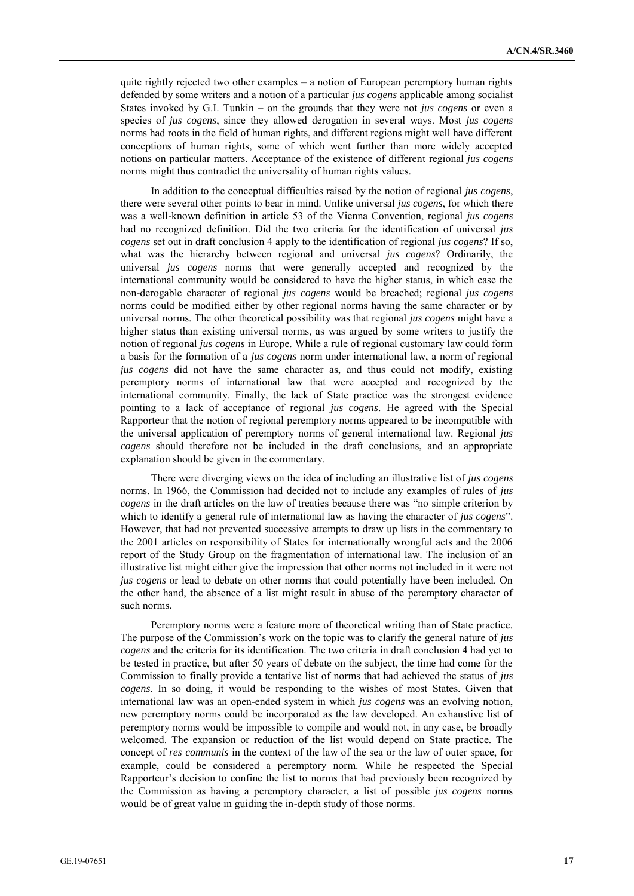quite rightly rejected two other examples – a notion of European peremptory human rights defended by some writers and a notion of a particular *jus cogens* applicable among socialist States invoked by G.I. Tunkin – on the grounds that they were not *jus cogens* or even a species of *jus cogens*, since they allowed derogation in several ways. Most *jus cogens* norms had roots in the field of human rights, and different regions might well have different conceptions of human rights, some of which went further than more widely accepted notions on particular matters. Acceptance of the existence of different regional *jus cogens* norms might thus contradict the universality of human rights values.

In addition to the conceptual difficulties raised by the notion of regional *jus cogens*, there were several other points to bear in mind. Unlike universal *jus cogens*, for which there was a well-known definition in article 53 of the Vienna Convention, regional *jus cogens* had no recognized definition. Did the two criteria for the identification of universal *jus cogens* set out in draft conclusion 4 apply to the identification of regional *jus cogens*? If so, what was the hierarchy between regional and universal *jus cogens*? Ordinarily, the universal *jus cogens* norms that were generally accepted and recognized by the international community would be considered to have the higher status, in which case the non-derogable character of regional *jus cogens* would be breached; regional *jus cogens* norms could be modified either by other regional norms having the same character or by universal norms. The other theoretical possibility was that regional *jus cogens* might have a higher status than existing universal norms, as was argued by some writers to justify the notion of regional *jus cogens* in Europe. While a rule of regional customary law could form a basis for the formation of a *jus cogens* norm under international law, a norm of regional *jus cogens* did not have the same character as, and thus could not modify, existing peremptory norms of international law that were accepted and recognized by the international community. Finally, the lack of State practice was the strongest evidence pointing to a lack of acceptance of regional *jus cogens*. He agreed with the Special Rapporteur that the notion of regional peremptory norms appeared to be incompatible with the universal application of peremptory norms of general international law. Regional *jus cogens* should therefore not be included in the draft conclusions, and an appropriate explanation should be given in the commentary.

There were diverging views on the idea of including an illustrative list of *jus cogens* norms. In 1966, the Commission had decided not to include any examples of rules of *jus cogens* in the draft articles on the law of treaties because there was "no simple criterion by which to identify a general rule of international law as having the character of *jus cogens*". However, that had not prevented successive attempts to draw up lists in the commentary to the 2001 articles on responsibility of States for internationally wrongful acts and the 2006 report of the Study Group on the fragmentation of international law. The inclusion of an illustrative list might either give the impression that other norms not included in it were not *jus cogens* or lead to debate on other norms that could potentially have been included. On the other hand, the absence of a list might result in abuse of the peremptory character of such norms.

Peremptory norms were a feature more of theoretical writing than of State practice. The purpose of the Commission's work on the topic was to clarify the general nature of *jus cogens* and the criteria for its identification. The two criteria in draft conclusion 4 had yet to be tested in practice, but after 50 years of debate on the subject, the time had come for the Commission to finally provide a tentative list of norms that had achieved the status of *jus cogens*. In so doing, it would be responding to the wishes of most States. Given that international law was an open-ended system in which *jus cogens* was an evolving notion, new peremptory norms could be incorporated as the law developed. An exhaustive list of peremptory norms would be impossible to compile and would not, in any case, be broadly welcomed. The expansion or reduction of the list would depend on State practice. The concept of *res communis* in the context of the law of the sea or the law of outer space, for example, could be considered a peremptory norm. While he respected the Special Rapporteur's decision to confine the list to norms that had previously been recognized by the Commission as having a peremptory character, a list of possible *jus cogens* norms would be of great value in guiding the in-depth study of those norms.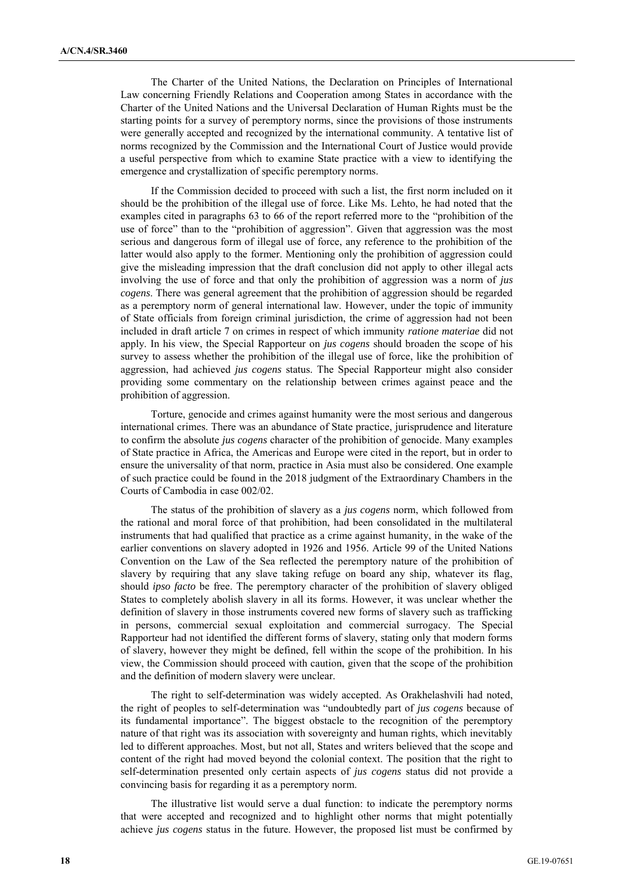The Charter of the United Nations, the Declaration on Principles of International Law concerning Friendly Relations and Cooperation among States in accordance with the Charter of the United Nations and the Universal Declaration of Human Rights must be the starting points for a survey of peremptory norms, since the provisions of those instruments were generally accepted and recognized by the international community. A tentative list of norms recognized by the Commission and the International Court of Justice would provide a useful perspective from which to examine State practice with a view to identifying the emergence and crystallization of specific peremptory norms.

If the Commission decided to proceed with such a list, the first norm included on it should be the prohibition of the illegal use of force. Like Ms. Lehto, he had noted that the examples cited in paragraphs 63 to 66 of the report referred more to the "prohibition of the use of force" than to the "prohibition of aggression". Given that aggression was the most serious and dangerous form of illegal use of force, any reference to the prohibition of the latter would also apply to the former. Mentioning only the prohibition of aggression could give the misleading impression that the draft conclusion did not apply to other illegal acts involving the use of force and that only the prohibition of aggression was a norm of *jus cogens*. There was general agreement that the prohibition of aggression should be regarded as a peremptory norm of general international law. However, under the topic of immunity of State officials from foreign criminal jurisdiction, the crime of aggression had not been included in draft article 7 on crimes in respect of which immunity *ratione materiae* did not apply. In his view, the Special Rapporteur on *jus cogens* should broaden the scope of his survey to assess whether the prohibition of the illegal use of force, like the prohibition of aggression, had achieved *jus cogens* status. The Special Rapporteur might also consider providing some commentary on the relationship between crimes against peace and the prohibition of aggression.

Torture, genocide and crimes against humanity were the most serious and dangerous international crimes. There was an abundance of State practice, jurisprudence and literature to confirm the absolute *jus cogens* character of the prohibition of genocide. Many examples of State practice in Africa, the Americas and Europe were cited in the report, but in order to ensure the universality of that norm, practice in Asia must also be considered. One example of such practice could be found in the 2018 judgment of the Extraordinary Chambers in the Courts of Cambodia in case 002/02.

The status of the prohibition of slavery as a *jus cogens* norm, which followed from the rational and moral force of that prohibition, had been consolidated in the multilateral instruments that had qualified that practice as a crime against humanity, in the wake of the earlier conventions on slavery adopted in 1926 and 1956. Article 99 of the United Nations Convention on the Law of the Sea reflected the peremptory nature of the prohibition of slavery by requiring that any slave taking refuge on board any ship, whatever its flag, should *ipso facto* be free. The peremptory character of the prohibition of slavery obliged States to completely abolish slavery in all its forms. However, it was unclear whether the definition of slavery in those instruments covered new forms of slavery such as trafficking in persons, commercial sexual exploitation and commercial surrogacy. The Special Rapporteur had not identified the different forms of slavery, stating only that modern forms of slavery, however they might be defined, fell within the scope of the prohibition. In his view, the Commission should proceed with caution, given that the scope of the prohibition and the definition of modern slavery were unclear.

The right to self-determination was widely accepted. As Orakhelashvili had noted, the right of peoples to self-determination was "undoubtedly part of *jus cogens* because of its fundamental importance". The biggest obstacle to the recognition of the peremptory nature of that right was its association with sovereignty and human rights, which inevitably led to different approaches. Most, but not all, States and writers believed that the scope and content of the right had moved beyond the colonial context. The position that the right to self-determination presented only certain aspects of *jus cogens* status did not provide a convincing basis for regarding it as a peremptory norm.

The illustrative list would serve a dual function: to indicate the peremptory norms that were accepted and recognized and to highlight other norms that might potentially achieve *jus cogens* status in the future. However, the proposed list must be confirmed by